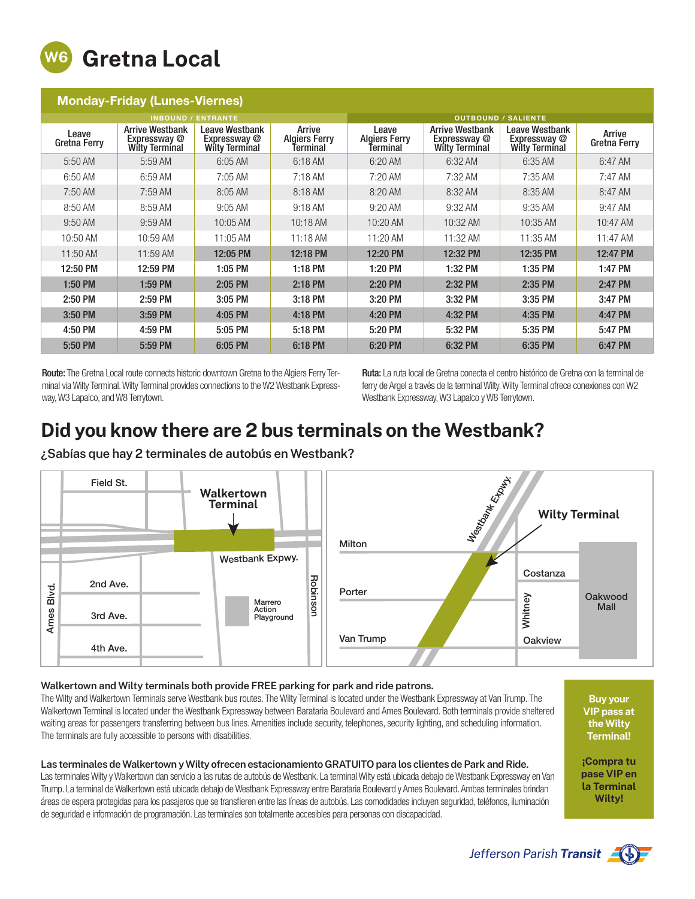

| <b>Monday-Friday (Lunes-Viernes)</b> |                                                                 |                                                         |                                            |                                           |                                                                 |                                                         |                               |
|--------------------------------------|-----------------------------------------------------------------|---------------------------------------------------------|--------------------------------------------|-------------------------------------------|-----------------------------------------------------------------|---------------------------------------------------------|-------------------------------|
| <b>INBOUND / ENTRANTE</b>            |                                                                 |                                                         |                                            | <b>OUTBOUND /</b><br><b>SALIENTE</b>      |                                                                 |                                                         |                               |
| Leave<br>Gretna Ferry                | <b>Arrive Westbank</b><br>Expressway @<br><b>Wilty Terminal</b> | Leave Westbank<br>Expressway @<br><b>Wilty Terminal</b> | Arrive<br><b>Algiers Ferry</b><br>Terminal | Leave<br><b>Algiers Ferry</b><br>Terminal | <b>Arrive Westbank</b><br>Expressway @<br><b>Wilty Terminal</b> | Leave Westbank<br>Expressway @<br><b>Wilty Terminal</b> | Arrive<br><b>Gretna Ferry</b> |
| 5:50 AM                              | 5:59 AM                                                         | 6:05 AM                                                 | 6:18 AM                                    | 6:20 AM                                   | 6:32 AM                                                         | 6:35 AM                                                 | 6:47 AM                       |
| 6:50 AM                              | 6:59 AM                                                         | 7:05 AM                                                 | $7:18$ AM                                  | $7:20$ AM                                 | 7:32 AM                                                         | 7:35 AM                                                 | 7:47 AM                       |
| 7:50 AM                              | $7:59$ AM                                                       | 8:05 AM                                                 | 8:18 AM                                    | 8:20 AM                                   | 8:32 AM                                                         | 8:35 AM                                                 | 8:47 AM                       |
| 8:50 AM                              | 8:59 AM                                                         | $9:05$ AM                                               | 9:18 AM                                    | $9:20$ AM                                 | 9:32 AM                                                         | 9:35 AM                                                 | 9:47 AM                       |
| 9:50 AM                              | 9:59 AM                                                         | 10:05 AM                                                | 10:18 AM                                   | 10:20 AM                                  | 10:32 AM                                                        | 10:35 AM                                                | 10:47 AM                      |
| 10:50 AM                             | 10:59 AM                                                        | 11:05 AM                                                | 11:18 AM                                   | 11:20 AM                                  | 11:32 AM                                                        | 11:35 AM                                                | 11:47 AM                      |
| 11:50 AM                             | 11:59 AM                                                        | 12:05 PM                                                | 12:18 PM                                   | 12:20 PM                                  | 12:32 PM                                                        | 12:35 PM                                                | 12:47 PM                      |
| 12:50 PM                             | 12:59 PM                                                        | 1:05 PM                                                 | 1:18 PM                                    | 1:20 PM                                   | 1:32 PM                                                         | 1:35 PM                                                 | 1:47 PM                       |
| 1:50 PM                              | 1:59 PM                                                         | 2:05 PM                                                 | 2:18 PM                                    | 2:20 PM                                   | 2:32 PM                                                         | 2:35 PM                                                 | 2:47 PM                       |
| 2:50 PM                              | 2:59 PM                                                         | 3:05 PM                                                 | 3:18 PM                                    | 3:20 PM                                   | 3:32 PM                                                         | 3:35 PM                                                 | 3:47 PM                       |
| 3:50 PM                              | 3:59 PM                                                         | 4:05 PM                                                 | 4:18 PM                                    | 4:20 PM                                   | 4:32 PM                                                         | 4:35 PM                                                 | 4:47 PM                       |
| 4:50 PM                              | 4:59 PM                                                         | 5:05 PM                                                 | 5:18 PM                                    | 5:20 PM                                   | 5:32 PM                                                         | 5:35 PM                                                 | 5:47 PM                       |
| 5:50 PM                              | 5:59 PM                                                         | 6:05 PM                                                 | 6:18 PM                                    | 6:20 PM                                   | 6:32 PM                                                         | 6:35 PM                                                 | 6:47 PM                       |

Route: The Gretna Local route connects historic downtown Gretna to the Algiers Ferry Terminal via Wilty Terminal. Wilty Terminal provides connections to the W2 Westbank Expressway, W3 Lapalco, and W8 Terrytown.

Ruta: La ruta local de Gretna conecta el centro histórico de Gretna con la terminal de ferry de Argel a través de la terminal Wilty. Wilty Terminal ofrece conexiones con W2 Westbank Expressway, W3 Lapalco y W8 Terrytown.

## Did you know there are 2 bus terminals on the Westbank?

¿Sabías que hay 2 terminales de autobús en Westbank?



## Walkertown and Wilty terminals both provide FREE parking for park and ride patrons.

The Wilty and Walkertown Terminals serve Westbank bus routes. The Wilty Terminal is located under the Westbank Expressway at Van Trump. The Walkertown Terminal is located under the Westbank Expressway between Barataria Boulevard and Ames Boulevard. Both terminals provide sheltered waiting areas for passengers transferring between bus lines. Amenities include security, telephones, security lighting, and scheduling information. The terminals are fully accessible to persons with disabilities.

## Las terminales de Walkertown y Wilty ofrecen estacionamiento GRATUITO para los clientes de Park and Ride.

Las terminales Wilty y Walkertown dan servicio a las rutas de autobús de Westbank. La terminal Wilty está ubicada debajo de Westbank Expressway en Van Trump. La terminal de Walkertown está ubicada debajo de Westbank Expressway entre Barataria Boulevard y Ames Boulevard. Ambas terminales brindan áreas de espera protegidas para los pasajeros que se transfieren entre las líneas de autobús. Las comodidades incluyen seguridad, teléfonos, iluminación de seguridad e información de programación. Las terminales son totalmente accesibles para personas con discapacidad.

Buy your VIP pass at the Wilty Terminal!

¡Compra tu pase VIP en la Terminal Wilty!



Jefferson Parish Transit